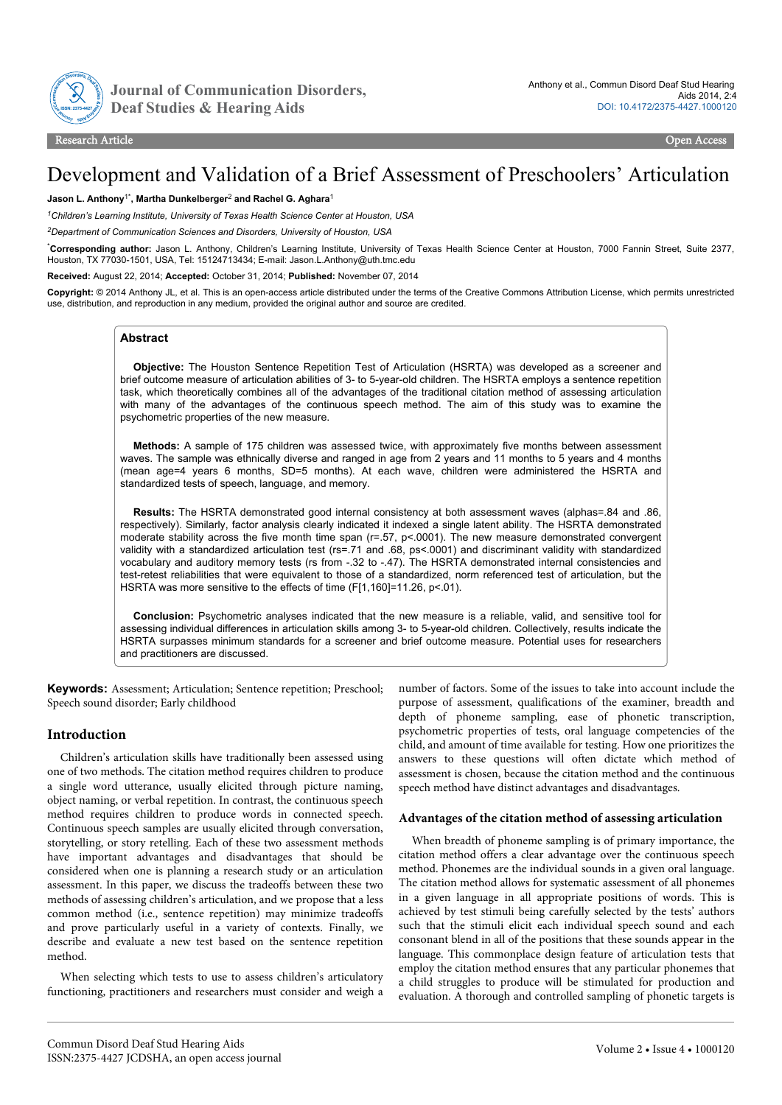

Journal of Communication Disorders,

# Development and Validation of a Brief Assessment of Preschoolers' Articulation

#### **Jason L. Anthony**1\***, Martha Dunkelberger**<sup>2</sup>  **and Rachel G. Aghara**<sup>1</sup>

*<sup>1</sup>Children's Learning Institute, University of Texas Health Science Center at Houston, USA*

*<sup>2</sup>Department of Communication Sciences and Disorders, University of Houston, USA*

\***Corresponding author:** Jason L. Anthony, Children's Learning Institute, University of Texas Health Science Center at Houston, 7000 Fannin Street, Suite 2377, Houston, TX 77030-1501, USA, Tel: 15124713434; E-mail: Jason.L.Anthony@uth.tmc.edu

**Received:** August 22, 2014; **Accepted:** October 31, 2014; **Published:** November 07, 2014

**Copyright:** © 2014 Anthony JL, et al. This is an open-access article distributed under the terms of the Creative Commons Attribution License, which permits unrestricted use, distribution, and reproduction in any medium, provided the original author and source are credited.

## **Abstract**

**Objective:** The Houston Sentence Repetition Test of Articulation (HSRTA) was developed as a screener and brief outcome measure of articulation abilities of 3- to 5-year-old children. The HSRTA employs a sentence repetition task, which theoretically combines all of the advantages of the traditional citation method of assessing articulation with many of the advantages of the continuous speech method. The aim of this study was to examine the psychometric properties of the new measure.

**Methods:** A sample of 175 children was assessed twice, with approximately five months between assessment waves. The sample was ethnically diverse and ranged in age from 2 years and 11 months to 5 years and 4 months (mean age=4 years 6 months, SD=5 months). At each wave, children were administered the HSRTA and standardized tests of speech, language, and memory.

**Results:** The HSRTA demonstrated good internal consistency at both assessment waves (alphas=.84 and .86, respectively). Similarly, factor analysis clearly indicated it indexed a single latent ability. The HSRTA demonstrated moderate stability across the five month time span (r=.57, p<.0001). The new measure demonstrated convergent validity with a standardized articulation test (rs=.71 and .68, ps<.0001) and discriminant validity with standardized vocabulary and auditory memory tests (rs from -.32 to -.47). The HSRTA demonstrated internal consistencies and test-retest reliabilities that were equivalent to those of a standardized, norm referenced test of articulation, but the HSRTA was more sensitive to the effects of time (F[1,160]=11.26, p<.01).

**Conclusion:** Psychometric analyses indicated that the new measure is a reliable, valid, and sensitive tool for assessing individual differences in articulation skills among 3- to 5-year-old children. Collectively, results indicate the HSRTA surpasses minimum standards for a screener and brief outcome measure. Potential uses for researchers and practitioners are discussed.

**Keywords:** Assessment; Articulation; Sentence repetition; Preschool; Speech sound disorder; Early childhood

#### **Introduction**

Children's articulation skills have traditionally been assessed using one of two methods. The citation method requires children to produce a single word utterance, usually elicited through picture naming, object naming, or verbal repetition. In contrast, the continuous speech method requires children to produce words in connected speech. Continuous speech samples are usually elicited through conversation, storytelling, or story retelling. Each of these two assessment methods have important advantages and disadvantages that should be considered when one is planning a research study or an articulation assessment. In this paper, we discuss the tradeoffs between these two methods of assessing children's articulation, and we propose that a less common method (i.e., sentence repetition) may minimize tradeoffs and prove particularly useful in a variety of contexts. Finally, we describe and evaluate a new test based on the sentence repetition method.

When selecting which tests to use to assess children's articulatory functioning, practitioners and researchers must consider and weigh a number of factors. Some of the issues to take into account include the purpose of assessment, qualifications of the examiner, breadth and depth of phoneme sampling, ease of phonetic transcription, psychometric properties of tests, oral language competencies of the child, and amount of time available for testing. How one prioritizes the answers to these questions will often dictate which method of assessment is chosen, because the citation method and the continuous speech method have distinct advantages and disadvantages.

#### **Advantages of the citation method of assessing articulation**

When breadth of phoneme sampling is of primary importance, the citation method offers a clear advantage over the continuous speech method. Phonemes are the individual sounds in a given oral language. The citation method allows for systematic assessment of all phonemes in a given language in all appropriate positions of words. This is achieved by test stimuli being carefully selected by the tests' authors such that the stimuli elicit each individual speech sound and each consonant blend in all of the positions that these sounds appear in the language. This commonplace design feature of articulation tests that employ the citation method ensures that any particular phonemes that a child struggles to produce will be stimulated for production and evaluation. A thorough and controlled sampling of phonetic targets is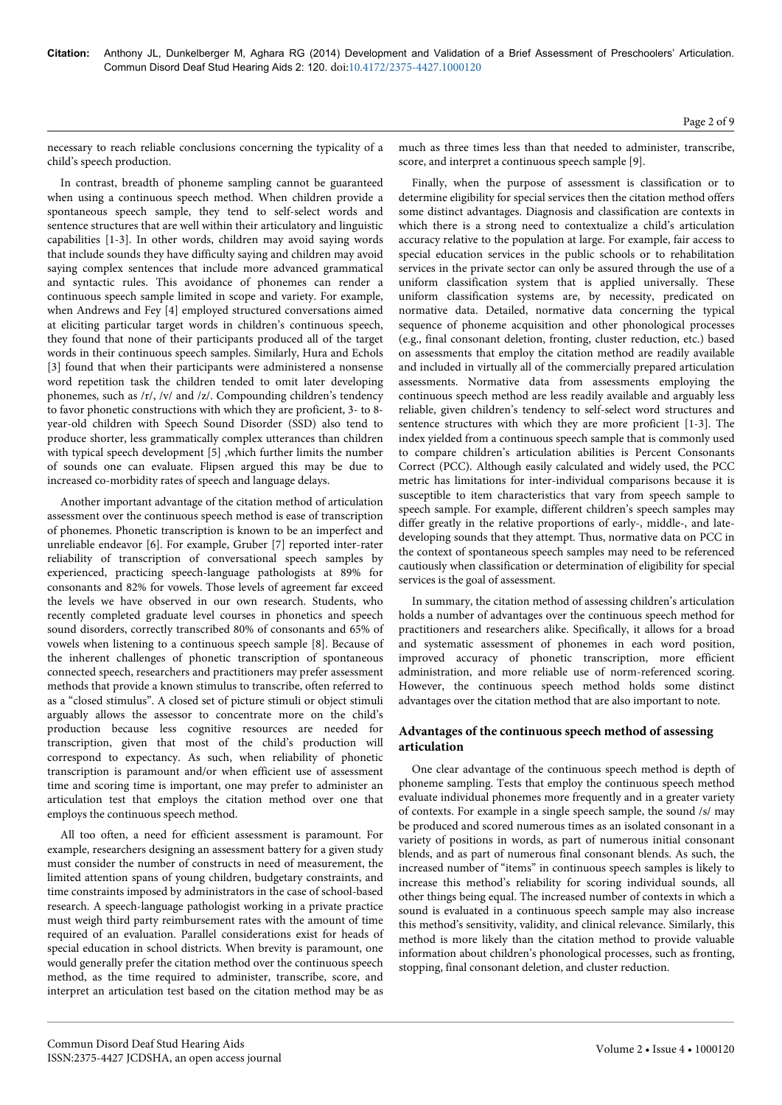necessary to reach reliable conclusions concerning the typicality of a child's speech production.

In contrast, breadth of phoneme sampling cannot be guaranteed when using a continuous speech method. When children provide a spontaneous speech sample, they tend to self-select words and sentence structures that are well within their articulatory and linguistic capabilities [1-3]. In other words, children may avoid saying words that include sounds they have difficulty saying and children may avoid saying complex sentences that include more advanced grammatical and syntactic rules. This avoidance of phonemes can render a continuous speech sample limited in scope and variety. For example, when Andrews and Fey [4] employed structured conversations aimed at eliciting particular target words in children's continuous speech, they found that none of their participants produced all of the target words in their continuous speech samples. Similarly, Hura and Echols [3] found that when their participants were administered a nonsense word repetition task the children tended to omit later developing phonemes, such as /r/, /v/ and /z/. Compounding children's tendency to favor phonetic constructions with which they are proficient, 3- to 8 year-old children with Speech Sound Disorder (SSD) also tend to produce shorter, less grammatically complex utterances than children with typical speech development [5] ,which further limits the number of sounds one can evaluate. Flipsen argued this may be due to increased co-morbidity rates of speech and language delays.

Another important advantage of the citation method of articulation assessment over the continuous speech method is ease of transcription of phonemes. Phonetic transcription is known to be an imperfect and unreliable endeavor [6]. For example, Gruber [7] reported inter-rater reliability of transcription of conversational speech samples by experienced, practicing speech-language pathologists at 89% for consonants and 82% for vowels. Those levels of agreement far exceed the levels we have observed in our own research. Students, who recently completed graduate level courses in phonetics and speech sound disorders, correctly transcribed 80% of consonants and 65% of vowels when listening to a continuous speech sample [8]. Because of the inherent challenges of phonetic transcription of spontaneous connected speech, researchers and practitioners may prefer assessment methods that provide a known stimulus to transcribe, often referred to as a "closed stimulus". A closed set of picture stimuli or object stimuli arguably allows the assessor to concentrate more on the child's production because less cognitive resources are needed for transcription, given that most of the child's production will correspond to expectancy. As such, when reliability of phonetic transcription is paramount and/or when efficient use of assessment time and scoring time is important, one may prefer to administer an articulation test that employs the citation method over one that employs the continuous speech method.

All too often, a need for efficient assessment is paramount. For example, researchers designing an assessment battery for a given study must consider the number of constructs in need of measurement, the limited attention spans of young children, budgetary constraints, and time constraints imposed by administrators in the case of school-based research. A speech-language pathologist working in a private practice must weigh third party reimbursement rates with the amount of time required of an evaluation. Parallel considerations exist for heads of special education in school districts. When brevity is paramount, one would generally prefer the citation method over the continuous speech method, as the time required to administer, transcribe, score, and interpret an articulation test based on the citation method may be as

much as three times less than that needed to administer, transcribe, score, and interpret a continuous speech sample [9].

Finally, when the purpose of assessment is classification or to determine eligibility for special services then the citation method offers some distinct advantages. Diagnosis and classification are contexts in which there is a strong need to contextualize a child's articulation accuracy relative to the population at large. For example, fair access to special education services in the public schools or to rehabilitation services in the private sector can only be assured through the use of a uniform classification system that is applied universally. These uniform classification systems are, by necessity, predicated on normative data. Detailed, normative data concerning the typical sequence of phoneme acquisition and other phonological processes (e.g., final consonant deletion, fronting, cluster reduction, etc.) based on assessments that employ the citation method are readily available and included in virtually all of the commercially prepared articulation assessments. Normative data from assessments employing the continuous speech method are less readily available and arguably less reliable, given children's tendency to self-select word structures and sentence structures with which they are more proficient [1-3]. The index yielded from a continuous speech sample that is commonly used to compare children's articulation abilities is Percent Consonants Correct (PCC). Although easily calculated and widely used, the PCC metric has limitations for inter-individual comparisons because it is susceptible to item characteristics that vary from speech sample to speech sample. For example, different children's speech samples may differ greatly in the relative proportions of early-, middle-, and latedeveloping sounds that they attempt. Thus, normative data on PCC in the context of spontaneous speech samples may need to be referenced cautiously when classification or determination of eligibility for special services is the goal of assessment.

In summary, the citation method of assessing children's articulation holds a number of advantages over the continuous speech method for practitioners and researchers alike. Specifically, it allows for a broad and systematic assessment of phonemes in each word position, improved accuracy of phonetic transcription, more efficient administration, and more reliable use of norm-referenced scoring. However, the continuous speech method holds some distinct advantages over the citation method that are also important to note.

## **Advantages of the continuous speech method of assessing articulation**

One clear advantage of the continuous speech method is depth of phoneme sampling. Tests that employ the continuous speech method evaluate individual phonemes more frequently and in a greater variety of contexts. For example in a single speech sample, the sound /s/ may be produced and scored numerous times as an isolated consonant in a variety of positions in words, as part of numerous initial consonant blends, and as part of numerous final consonant blends. As such, the increased number of "items" in continuous speech samples is likely to increase this method's reliability for scoring individual sounds, all other things being equal. The increased number of contexts in which a sound is evaluated in a continuous speech sample may also increase this method's sensitivity, validity, and clinical relevance. Similarly, this method is more likely than the citation method to provide valuable information about children's phonological processes, such as fronting, stopping, final consonant deletion, and cluster reduction.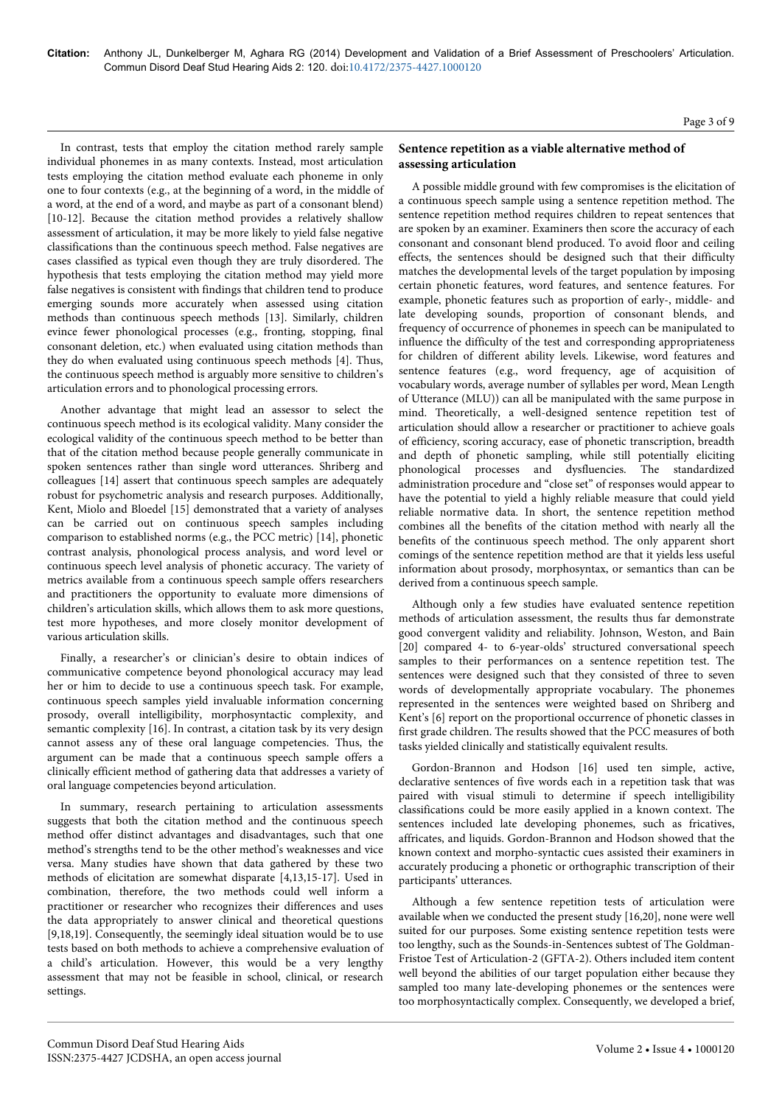In contrast, tests that employ the citation method rarely sample individual phonemes in as many contexts. Instead, most articulation tests employing the citation method evaluate each phoneme in only one to four contexts (e.g., at the beginning of a word, in the middle of a word, at the end of a word, and maybe as part of a consonant blend) [10-12]. Because the citation method provides a relatively shallow assessment of articulation, it may be more likely to yield false negative classifications than the continuous speech method. False negatives are cases classified as typical even though they are truly disordered. The hypothesis that tests employing the citation method may yield more false negatives is consistent with findings that children tend to produce emerging sounds more accurately when assessed using citation methods than continuous speech methods [13]. Similarly, children evince fewer phonological processes (e.g., fronting, stopping, final consonant deletion, etc.) when evaluated using citation methods than they do when evaluated using continuous speech methods [4]. Thus, the continuous speech method is arguably more sensitive to children's articulation errors and to phonological processing errors.

Another advantage that might lead an assessor to select the continuous speech method is its ecological validity. Many consider the ecological validity of the continuous speech method to be better than that of the citation method because people generally communicate in spoken sentences rather than single word utterances. Shriberg and colleagues [14] assert that continuous speech samples are adequately robust for psychometric analysis and research purposes. Additionally, Kent, Miolo and Bloedel [15] demonstrated that a variety of analyses can be carried out on continuous speech samples including comparison to established norms (e.g., the PCC metric) [14], phonetic contrast analysis, phonological process analysis, and word level or continuous speech level analysis of phonetic accuracy. The variety of metrics available from a continuous speech sample offers researchers and practitioners the opportunity to evaluate more dimensions of children's articulation skills, which allows them to ask more questions, test more hypotheses, and more closely monitor development of various articulation skills.

Finally, a researcher's or clinician's desire to obtain indices of communicative competence beyond phonological accuracy may lead her or him to decide to use a continuous speech task. For example, continuous speech samples yield invaluable information concerning prosody, overall intelligibility, morphosyntactic complexity, and semantic complexity [16]. In contrast, a citation task by its very design cannot assess any of these oral language competencies. Thus, the argument can be made that a continuous speech sample offers a clinically efficient method of gathering data that addresses a variety of oral language competencies beyond articulation.

In summary, research pertaining to articulation assessments suggests that both the citation method and the continuous speech method offer distinct advantages and disadvantages, such that one method's strengths tend to be the other method's weaknesses and vice versa. Many studies have shown that data gathered by these two methods of elicitation are somewhat disparate [4,13,15-17]. Used in combination, therefore, the two methods could well inform a practitioner or researcher who recognizes their differences and uses the data appropriately to answer clinical and theoretical questions [9,18,19]. Consequently, the seemingly ideal situation would be to use tests based on both methods to achieve a comprehensive evaluation of a child's articulation. However, this would be a very lengthy assessment that may not be feasible in school, clinical, or research settings.

## **Sentence repetition as a viable alternative method of assessing articulation**

A possible middle ground with few compromises is the elicitation of a continuous speech sample using a sentence repetition method. The sentence repetition method requires children to repeat sentences that are spoken by an examiner. Examiners then score the accuracy of each consonant and consonant blend produced. To avoid floor and ceiling effects, the sentences should be designed such that their difficulty matches the developmental levels of the target population by imposing certain phonetic features, word features, and sentence features. For example, phonetic features such as proportion of early-, middle- and late developing sounds, proportion of consonant blends, and frequency of occurrence of phonemes in speech can be manipulated to influence the difficulty of the test and corresponding appropriateness for children of different ability levels. Likewise, word features and sentence features (e.g., word frequency, age of acquisition of vocabulary words, average number of syllables per word, Mean Length of Utterance (MLU)) can all be manipulated with the same purpose in mind. Theoretically, a well-designed sentence repetition test of articulation should allow a researcher or practitioner to achieve goals of efficiency, scoring accuracy, ease of phonetic transcription, breadth and depth of phonetic sampling, while still potentially eliciting phonological processes and dysfluencies. The standardized administration procedure and "close set" of responses would appear to have the potential to yield a highly reliable measure that could yield reliable normative data. In short, the sentence repetition method combines all the benefits of the citation method with nearly all the benefits of the continuous speech method. The only apparent short comings of the sentence repetition method are that it yields less useful information about prosody, morphosyntax, or semantics than can be derived from a continuous speech sample.

Although only a few studies have evaluated sentence repetition methods of articulation assessment, the results thus far demonstrate good convergent validity and reliability. Johnson, Weston, and Bain [20] compared 4- to 6-year-olds' structured conversational speech samples to their performances on a sentence repetition test. The sentences were designed such that they consisted of three to seven words of developmentally appropriate vocabulary. The phonemes represented in the sentences were weighted based on Shriberg and Kent's [6] report on the proportional occurrence of phonetic classes in first grade children. The results showed that the PCC measures of both tasks yielded clinically and statistically equivalent results.

Gordon-Brannon and Hodson [16] used ten simple, active, declarative sentences of five words each in a repetition task that was paired with visual stimuli to determine if speech intelligibility classifications could be more easily applied in a known context. The sentences included late developing phonemes, such as fricatives, affricates, and liquids. Gordon-Brannon and Hodson showed that the known context and morpho-syntactic cues assisted their examiners in accurately producing a phonetic or orthographic transcription of their participants' utterances.

Although a few sentence repetition tests of articulation were available when we conducted the present study [16,20], none were well suited for our purposes. Some existing sentence repetition tests were too lengthy, such as the Sounds-in-Sentences subtest of The Goldman-Fristoe Test of Articulation-2 (GFTA-2). Others included item content well beyond the abilities of our target population either because they sampled too many late-developing phonemes or the sentences were too morphosyntactically complex. Consequently, we developed a brief,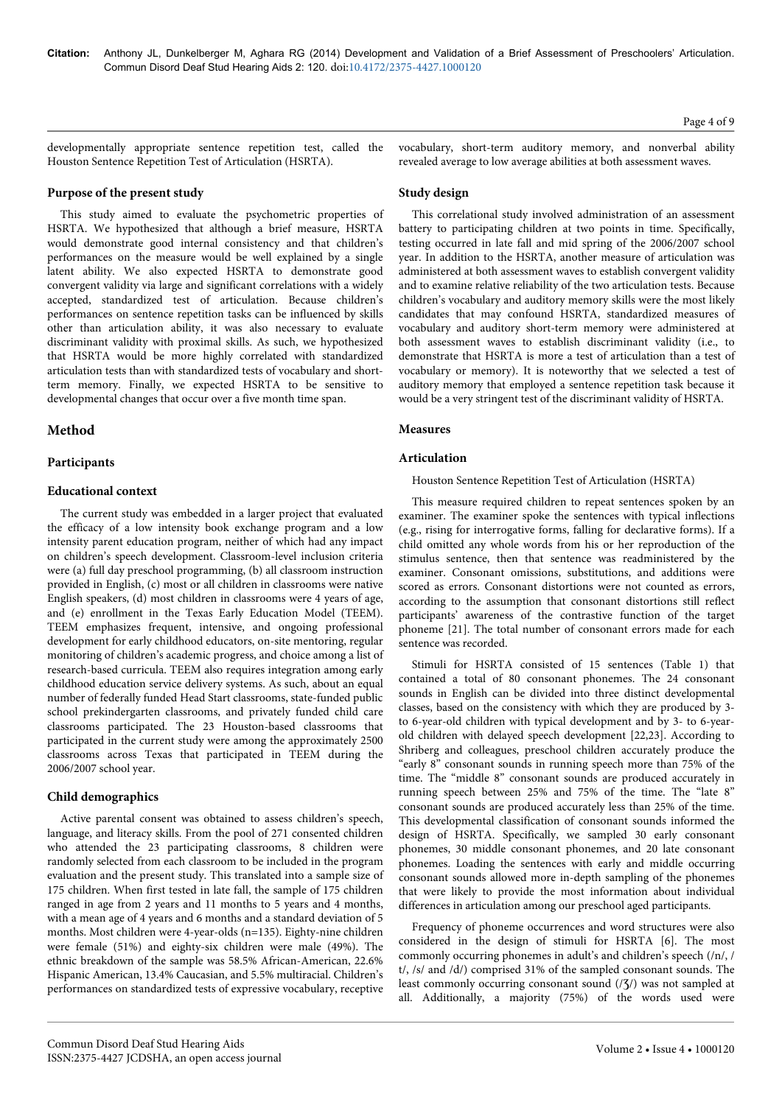developmentally appropriate sentence repetition test, called the Houston Sentence Repetition Test of Articulation (HSRTA).

#### **Purpose of the present study**

This study aimed to evaluate the psychometric properties of HSRTA. We hypothesized that although a brief measure, HSRTA would demonstrate good internal consistency and that children's performances on the measure would be well explained by a single latent ability. We also expected HSRTA to demonstrate good convergent validity via large and significant correlations with a widely accepted, standardized test of articulation. Because children's performances on sentence repetition tasks can be influenced by skills other than articulation ability, it was also necessary to evaluate discriminant validity with proximal skills. As such, we hypothesized that HSRTA would be more highly correlated with standardized articulation tests than with standardized tests of vocabulary and shortterm memory. Finally, we expected HSRTA to be sensitive to developmental changes that occur over a five month time span.

## **Method**

## **Participants**

#### **Educational context**

The current study was embedded in a larger project that evaluated the efficacy of a low intensity book exchange program and a low intensity parent education program, neither of which had any impact on children's speech development. Classroom-level inclusion criteria were (a) full day preschool programming, (b) all classroom instruction provided in English, (c) most or all children in classrooms were native English speakers, (d) most children in classrooms were 4 years of age, and (e) enrollment in the Texas Early Education Model (TEEM). TEEM emphasizes frequent, intensive, and ongoing professional development for early childhood educators, on-site mentoring, regular monitoring of children's academic progress, and choice among a list of research-based curricula. TEEM also requires integration among early childhood education service delivery systems. As such, about an equal number of federally funded Head Start classrooms, state-funded public school prekindergarten classrooms, and privately funded child care classrooms participated. The 23 Houston-based classrooms that participated in the current study were among the approximately 2500 classrooms across Texas that participated in TEEM during the 2006/2007 school year.

# **Child demographics**

Active parental consent was obtained to assess children's speech, language, and literacy skills. From the pool of 271 consented children who attended the 23 participating classrooms, 8 children were randomly selected from each classroom to be included in the program evaluation and the present study. This translated into a sample size of 175 children. When first tested in late fall, the sample of 175 children ranged in age from 2 years and 11 months to 5 years and 4 months, with a mean age of 4 years and 6 months and a standard deviation of 5 months. Most children were 4-year-olds (n=135). Eighty-nine children were female (51%) and eighty-six children were male (49%). The ethnic breakdown of the sample was 58.5% African-American, 22.6% Hispanic American, 13.4% Caucasian, and 5.5% multiracial. Children's performances on standardized tests of expressive vocabulary, receptive

vocabulary, short-term auditory memory, and nonverbal ability revealed average to low average abilities at both assessment waves.

#### **Study design**

This correlational study involved administration of an assessment battery to participating children at two points in time. Specifically, testing occurred in late fall and mid spring of the 2006/2007 school year. In addition to the HSRTA, another measure of articulation was administered at both assessment waves to establish convergent validity and to examine relative reliability of the two articulation tests. Because children's vocabulary and auditory memory skills were the most likely candidates that may confound HSRTA, standardized measures of vocabulary and auditory short-term memory were administered at both assessment waves to establish discriminant validity (i.e., to demonstrate that HSRTA is more a test of articulation than a test of vocabulary or memory). It is noteworthy that we selected a test of auditory memory that employed a sentence repetition task because it would be a very stringent test of the discriminant validity of HSRTA.

#### **Measures**

## **Articulation**

#### Houston Sentence Repetition Test of Articulation (HSRTA)

This measure required children to repeat sentences spoken by an examiner. The examiner spoke the sentences with typical inflections (e.g., rising for interrogative forms, falling for declarative forms). If a child omitted any whole words from his or her reproduction of the stimulus sentence, then that sentence was readministered by the examiner. Consonant omissions, substitutions, and additions were scored as errors. Consonant distortions were not counted as errors, according to the assumption that consonant distortions still reflect participants' awareness of the contrastive function of the target phoneme [21]. The total number of consonant errors made for each sentence was recorded.

Stimuli for HSRTA consisted of 15 sentences (Table 1) that contained a total of 80 consonant phonemes. The 24 consonant sounds in English can be divided into three distinct developmental classes, based on the consistency with which they are produced by 3 to 6-year-old children with typical development and by 3- to 6-yearold children with delayed speech development [22,23]. According to Shriberg and colleagues, preschool children accurately produce the "early 8" consonant sounds in running speech more than 75% of the time. The "middle 8" consonant sounds are produced accurately in running speech between 25% and 75% of the time. The "late 8" consonant sounds are produced accurately less than 25% of the time. This developmental classification of consonant sounds informed the design of HSRTA. Specifically, we sampled 30 early consonant phonemes, 30 middle consonant phonemes, and 20 late consonant phonemes. Loading the sentences with early and middle occurring consonant sounds allowed more in-depth sampling of the phonemes that were likely to provide the most information about individual differences in articulation among our preschool aged participants.

Frequency of phoneme occurrences and word structures were also considered in the design of stimuli for HSRTA [6]. The most commonly occurring phonemes in adult's and children's speech (/n/, / t/, /s/ and /d/) comprised 31% of the sampled consonant sounds. The least commonly occurring consonant sound  $(\frac{7}{3})$  was not sampled at all. Additionally, a majority (75%) of the words used were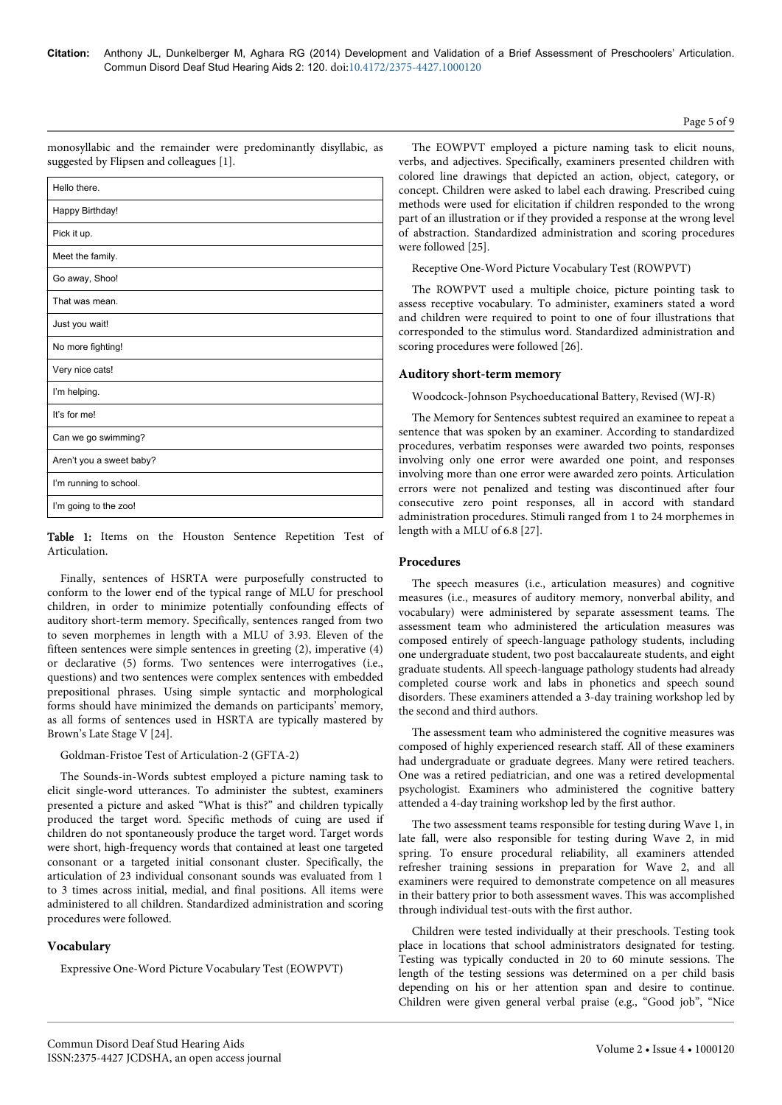Page 5 of 9

| Hello there.             |
|--------------------------|
| Happy Birthday!          |
| Pick it up.              |
| Meet the family.         |
| Go away, Shoo!           |
| That was mean.           |
| Just you wait!           |
| No more fighting!        |
| Very nice cats!          |
| I'm helping.             |
| It's for me!             |
| Can we go swimming?      |
| Aren't you a sweet baby? |
| I'm running to school.   |
| I'm going to the zoo!    |

monosyllabic and the remainder were predominantly disyllabic, as suggested by Flipsen and colleagues [1].

Table 1: Items on the Houston Sentence Repetition Test of Articulation.

Finally, sentences of HSRTA were purposefully constructed to conform to the lower end of the typical range of MLU for preschool children, in order to minimize potentially confounding effects of auditory short-term memory. Specifically, sentences ranged from two to seven morphemes in length with a MLU of 3.93. Eleven of the fifteen sentences were simple sentences in greeting (2), imperative (4) or declarative (5) forms. Two sentences were interrogatives (i.e., questions) and two sentences were complex sentences with embedded prepositional phrases. Using simple syntactic and morphological forms should have minimized the demands on participants' memory, as all forms of sentences used in HSRTA are typically mastered by Brown's Late Stage V [24].

Goldman-Fristoe Test of Articulation-2 (GFTA-2)

The Sounds-in-Words subtest employed a picture naming task to elicit single-word utterances. To administer the subtest, examiners presented a picture and asked "What is this?" and children typically produced the target word. Specific methods of cuing are used if children do not spontaneously produce the target word. Target words were short, high-frequency words that contained at least one targeted consonant or a targeted initial consonant cluster. Specifically, the articulation of 23 individual consonant sounds was evaluated from 1 to 3 times across initial, medial, and final positions. All items were administered to all children. Standardized administration and scoring procedures were followed.

# **Vocabulary**

Expressive One-Word Picture Vocabulary Test (EOWPVT)

The EOWPVT employed a picture naming task to elicit nouns, verbs, and adjectives. Specifically, examiners presented children with colored line drawings that depicted an action, object, category, or concept. Children were asked to label each drawing. Prescribed cuing methods were used for elicitation if children responded to the wrong part of an illustration or if they provided a response at the wrong level of abstraction. Standardized administration and scoring procedures were followed [25].

Receptive One-Word Picture Vocabulary Test (ROWPVT)

The ROWPVT used a multiple choice, picture pointing task to assess receptive vocabulary. To administer, examiners stated a word and children were required to point to one of four illustrations that corresponded to the stimulus word. Standardized administration and scoring procedures were followed [26].

## **Auditory short-term memory**

Woodcock-Johnson Psychoeducational Battery, Revised (WJ-R)

The Memory for Sentences subtest required an examinee to repeat a sentence that was spoken by an examiner. According to standardized procedures, verbatim responses were awarded two points, responses involving only one error were awarded one point, and responses involving more than one error were awarded zero points. Articulation errors were not penalized and testing was discontinued after four consecutive zero point responses, all in accord with standard administration procedures. Stimuli ranged from 1 to 24 morphemes in length with a MLU of 6.8 [27].

#### **Procedures**

The speech measures (i.e., articulation measures) and cognitive measures (i.e., measures of auditory memory, nonverbal ability, and vocabulary) were administered by separate assessment teams. The assessment team who administered the articulation measures was composed entirely of speech-language pathology students, including one undergraduate student, two post baccalaureate students, and eight graduate students. All speech-language pathology students had already completed course work and labs in phonetics and speech sound disorders. These examiners attended a 3-day training workshop led by the second and third authors.

The assessment team who administered the cognitive measures was composed of highly experienced research staff. All of these examiners had undergraduate or graduate degrees. Many were retired teachers. One was a retired pediatrician, and one was a retired developmental psychologist. Examiners who administered the cognitive battery attended a 4-day training workshop led by the first author.

The two assessment teams responsible for testing during Wave 1, in late fall, were also responsible for testing during Wave 2, in mid spring. To ensure procedural reliability, all examiners attended refresher training sessions in preparation for Wave 2, and all examiners were required to demonstrate competence on all measures in their battery prior to both assessment waves. This was accomplished through individual test-outs with the first author.

Children were tested individually at their preschools. Testing took place in locations that school administrators designated for testing. Testing was typically conducted in 20 to 60 minute sessions. The length of the testing sessions was determined on a per child basis depending on his or her attention span and desire to continue. Children were given general verbal praise (e.g., "Good job", "Nice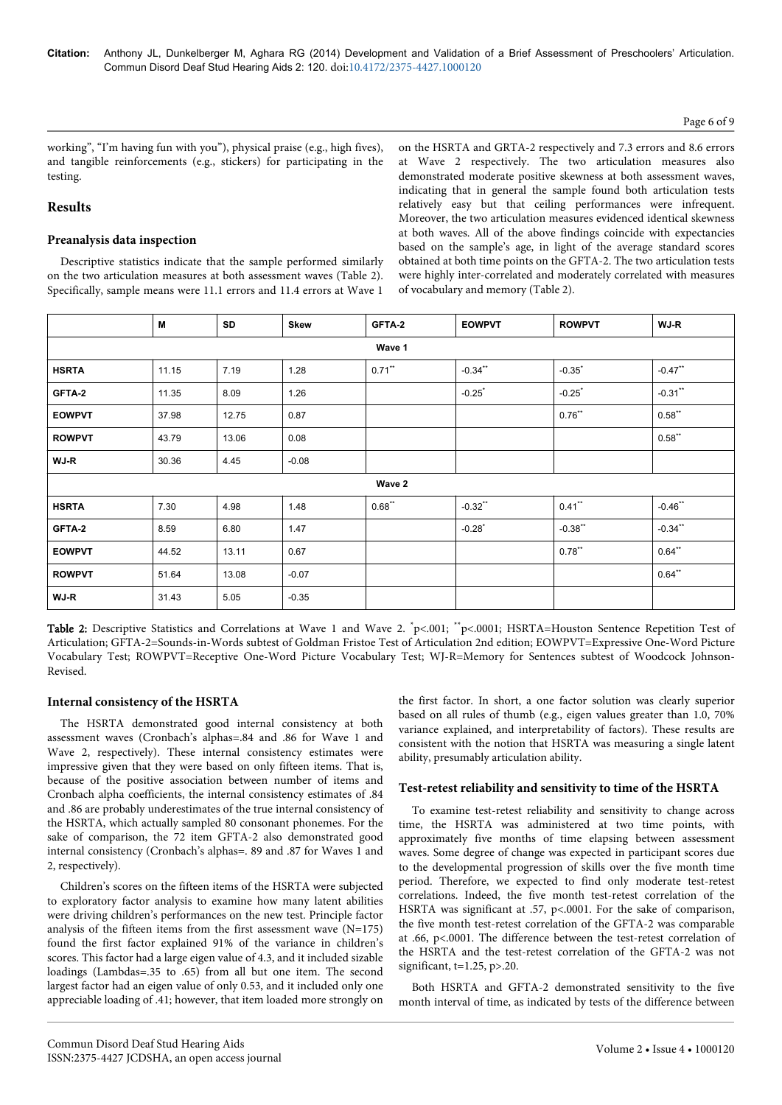#### Page 6 of 9

working", "I'm having fun with you"), physical praise (e.g., high fives), and tangible reinforcements (e.g., stickers) for participating in the testing.

## **Results**

## **Preanalysis data inspection**

Descriptive statistics indicate that the sample performed similarly on the two articulation measures at both assessment waves (Table 2). Specifically, sample means were 11.1 errors and 11.4 errors at Wave 1

on the HSRTA and GRTA-2 respectively and 7.3 errors and 8.6 errors at Wave 2 respectively. The two articulation measures also demonstrated moderate positive skewness at both assessment waves, indicating that in general the sample found both articulation tests relatively easy but that ceiling performances were infrequent. Moreover, the two articulation measures evidenced identical skewness at both waves. All of the above findings coincide with expectancies based on the sample's age, in light of the average standard scores obtained at both time points on the GFTA-2. The two articulation tests were highly inter-correlated and moderately correlated with measures of vocabulary and memory (Table 2).

|               | M     | SD    | <b>Skew</b> | GFTA-2    | <b>EOWPVT</b>        | <b>ROWPVT</b> | WJ-R       |  |
|---------------|-------|-------|-------------|-----------|----------------------|---------------|------------|--|
| Wave 1        |       |       |             |           |                      |               |            |  |
| <b>HSRTA</b>  | 11.15 | 7.19  | 1.28        | $0.71***$ | $-0.34$ **           | $-0.35$ *     | $-0.47***$ |  |
| GFTA-2        | 11.35 | 8.09  | 1.26        |           | $-0.25$ <sup>*</sup> | $-0.25$       | $-0.31$ ** |  |
| <b>EOWPVT</b> | 37.98 | 12.75 | 0.87        |           |                      | $0.76***$     | $0.58**$   |  |
| <b>ROWPVT</b> | 43.79 | 13.06 | 0.08        |           |                      |               | $0.58**$   |  |
| WJ-R          | 30.36 | 4.45  | $-0.08$     |           |                      |               |            |  |
| Wave 2        |       |       |             |           |                      |               |            |  |
| <b>HSRTA</b>  | 7.30  | 4.98  | 1.48        | $0.68***$ | $-0.32***$           | $0.41$ **     | $-0.46$ ** |  |
| GFTA-2        | 8.59  | 6.80  | 1.47        |           | $-0.28$              | $-0.38$ **    | $-0.34$ ** |  |
| <b>EOWPVT</b> | 44.52 | 13.11 | 0.67        |           |                      | $0.78$ **     | $0.64$ **  |  |
| <b>ROWPVT</b> | 51.64 | 13.08 | $-0.07$     |           |                      |               | $0.64***$  |  |
| WJ-R          | 31.43 | 5.05  | $-0.35$     |           |                      |               |            |  |

Table 2: Descriptive Statistics and Correlations at Wave 1 and Wave 2. \*p<.001; \*\*p<.0001; HSRTA=Houston Sentence Repetition Test of Articulation; GFTA-2=Sounds-in-Words subtest of Goldman Fristoe Test of Articulation 2nd edition; EOWPVT=Expressive One-Word Picture Vocabulary Test; ROWPVT=Receptive One-Word Picture Vocabulary Test; WJ-R=Memory for Sentences subtest of Woodcock Johnson-Revised.

#### **Internal consistency of the HSRTA**

The HSRTA demonstrated good internal consistency at both assessment waves (Cronbach's alphas=.84 and .86 for Wave 1 and Wave 2, respectively). These internal consistency estimates were impressive given that they were based on only fifteen items. That is, because of the positive association between number of items and Cronbach alpha coefficients, the internal consistency estimates of .84 and .86 are probably underestimates of the true internal consistency of the HSRTA, which actually sampled 80 consonant phonemes. For the sake of comparison, the 72 item GFTA-2 also demonstrated good internal consistency (Cronbach's alphas=. 89 and .87 for Waves 1 and 2, respectively).

Children's scores on the fifteen items of the HSRTA were subjected to exploratory factor analysis to examine how many latent abilities were driving children's performances on the new test. Principle factor analysis of the fifteen items from the first assessment wave  $(N=175)$ found the first factor explained 91% of the variance in children's scores. This factor had a large eigen value of 4.3, and it included sizable loadings (Lambdas=.35 to .65) from all but one item. The second largest factor had an eigen value of only 0.53, and it included only one appreciable loading of .41; however, that item loaded more strongly on

the first factor. In short, a one factor solution was clearly superior based on all rules of thumb (e.g., eigen values greater than 1.0, 70% variance explained, and interpretability of factors). These results are consistent with the notion that HSRTA was measuring a single latent ability, presumably articulation ability.

#### **Test-retest reliability and sensitivity to time of the HSRTA**

To examine test-retest reliability and sensitivity to change across time, the HSRTA was administered at two time points, with approximately five months of time elapsing between assessment waves. Some degree of change was expected in participant scores due to the developmental progression of skills over the five month time period. Therefore, we expected to find only moderate test-retest correlations. Indeed, the five month test-retest correlation of the HSRTA was significant at .57, p<.0001. For the sake of comparison, the five month test-retest correlation of the GFTA-2 was comparable at .66, p<.0001. The difference between the test-retest correlation of the HSRTA and the test-retest correlation of the GFTA-2 was not significant, t=1.25, p>.20.

Both HSRTA and GFTA-2 demonstrated sensitivity to the five month interval of time, as indicated by tests of the difference between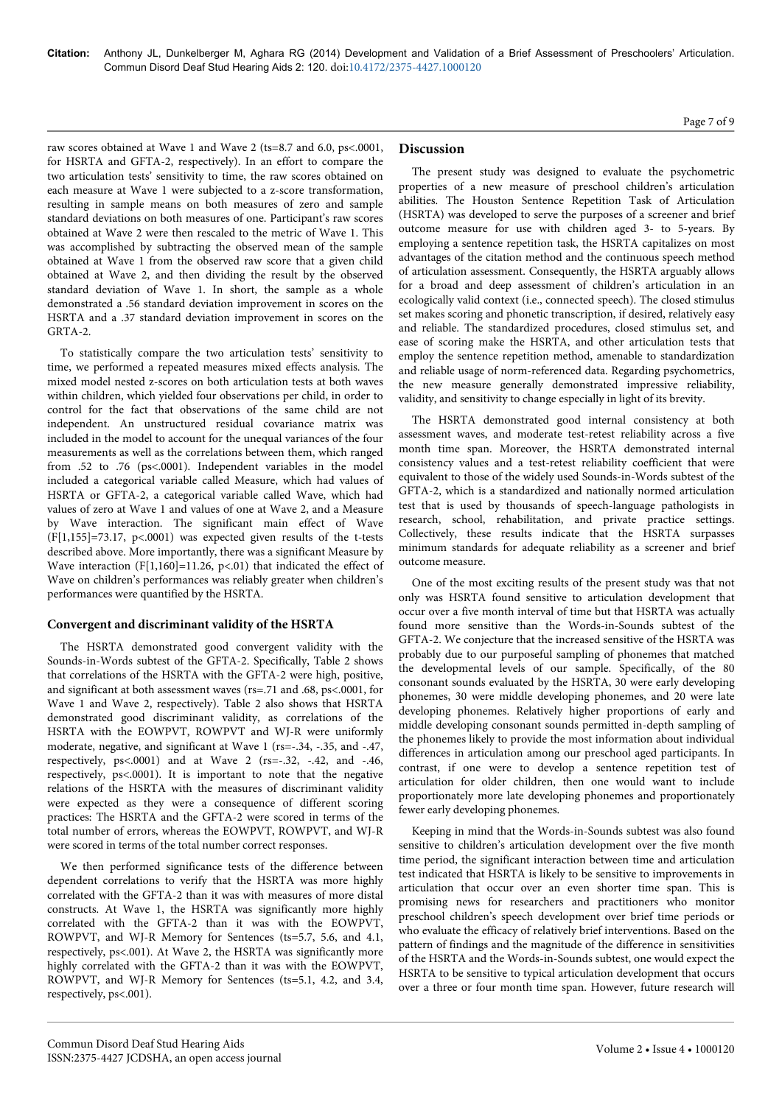raw scores obtained at Wave 1 and Wave 2 (ts=8.7 and 6.0, ps<.0001, for HSRTA and GFTA-2, respectively). In an effort to compare the two articulation tests' sensitivity to time, the raw scores obtained on each measure at Wave 1 were subjected to a z-score transformation, resulting in sample means on both measures of zero and sample standard deviations on both measures of one. Participant's raw scores obtained at Wave 2 were then rescaled to the metric of Wave 1. This was accomplished by subtracting the observed mean of the sample obtained at Wave 1 from the observed raw score that a given child obtained at Wave 2, and then dividing the result by the observed standard deviation of Wave 1. In short, the sample as a whole demonstrated a .56 standard deviation improvement in scores on the HSRTA and a .37 standard deviation improvement in scores on the GRTA-2.

To statistically compare the two articulation tests' sensitivity to time, we performed a repeated measures mixed effects analysis. The mixed model nested z-scores on both articulation tests at both waves within children, which yielded four observations per child, in order to control for the fact that observations of the same child are not independent. An unstructured residual covariance matrix was included in the model to account for the unequal variances of the four measurements as well as the correlations between them, which ranged from .52 to .76 (ps<.0001). Independent variables in the model included a categorical variable called Measure, which had values of HSRTA or GFTA-2, a categorical variable called Wave, which had values of zero at Wave 1 and values of one at Wave 2, and a Measure by Wave interaction. The significant main effect of Wave  $(F[1,155]=73.17, p<0.001)$  was expected given results of the t-tests described above. More importantly, there was a significant Measure by Wave interaction (F[1,160]=11.26, p<.01) that indicated the effect of Wave on children's performances was reliably greater when children's performances were quantified by the HSRTA.

# **Convergent and discriminant validity of the HSRTA**

The HSRTA demonstrated good convergent validity with the Sounds-in-Words subtest of the GFTA-2. Specifically, Table 2 shows that correlations of the HSRTA with the GFTA-2 were high, positive, and significant at both assessment waves (rs=.71 and .68, ps<.0001, for Wave 1 and Wave 2, respectively). Table 2 also shows that HSRTA demonstrated good discriminant validity, as correlations of the HSRTA with the EOWPVT, ROWPVT and WJ-R were uniformly moderate, negative, and significant at Wave 1 (rs=-.34, -.35, and -.47, respectively, ps<.0001) and at Wave 2 (rs=-.32, -.42, and -.46, respectively, ps<.0001). It is important to note that the negative relations of the HSRTA with the measures of discriminant validity were expected as they were a consequence of different scoring practices: The HSRTA and the GFTA-2 were scored in terms of the total number of errors, whereas the EOWPVT, ROWPVT, and WJ-R were scored in terms of the total number correct responses.

We then performed significance tests of the difference between dependent correlations to verify that the HSRTA was more highly correlated with the GFTA-2 than it was with measures of more distal constructs. At Wave 1, the HSRTA was significantly more highly correlated with the GFTA-2 than it was with the EOWPVT, ROWPVT, and WJ-R Memory for Sentences (ts=5.7, 5.6, and 4.1, respectively, ps<.001). At Wave 2, the HSRTA was significantly more highly correlated with the GFTA-2 than it was with the EOWPVT, ROWPVT, and WJ-R Memory for Sentences (ts=5.1, 4.2, and 3.4, respectively, ps<.001).

# **Discussion**

The present study was designed to evaluate the psychometric properties of a new measure of preschool children's articulation abilities. The Houston Sentence Repetition Task of Articulation (HSRTA) was developed to serve the purposes of a screener and brief outcome measure for use with children aged 3- to 5-years. By employing a sentence repetition task, the HSRTA capitalizes on most advantages of the citation method and the continuous speech method of articulation assessment. Consequently, the HSRTA arguably allows for a broad and deep assessment of children's articulation in an ecologically valid context (i.e., connected speech). The closed stimulus set makes scoring and phonetic transcription, if desired, relatively easy and reliable. The standardized procedures, closed stimulus set, and ease of scoring make the HSRTA, and other articulation tests that employ the sentence repetition method, amenable to standardization and reliable usage of norm-referenced data. Regarding psychometrics, the new measure generally demonstrated impressive reliability, validity, and sensitivity to change especially in light of its brevity.

The HSRTA demonstrated good internal consistency at both assessment waves, and moderate test-retest reliability across a five month time span. Moreover, the HSRTA demonstrated internal consistency values and a test-retest reliability coefficient that were equivalent to those of the widely used Sounds-in-Words subtest of the GFTA-2, which is a standardized and nationally normed articulation test that is used by thousands of speech-language pathologists in research, school, rehabilitation, and private practice settings. Collectively, these results indicate that the HSRTA surpasses minimum standards for adequate reliability as a screener and brief outcome measure.

One of the most exciting results of the present study was that not only was HSRTA found sensitive to articulation development that occur over a five month interval of time but that HSRTA was actually found more sensitive than the Words-in-Sounds subtest of the GFTA-2. We conjecture that the increased sensitive of the HSRTA was probably due to our purposeful sampling of phonemes that matched the developmental levels of our sample. Specifically, of the 80 consonant sounds evaluated by the HSRTA, 30 were early developing phonemes, 30 were middle developing phonemes, and 20 were late developing phonemes. Relatively higher proportions of early and middle developing consonant sounds permitted in-depth sampling of the phonemes likely to provide the most information about individual differences in articulation among our preschool aged participants. In contrast, if one were to develop a sentence repetition test of articulation for older children, then one would want to include proportionately more late developing phonemes and proportionately fewer early developing phonemes.

Keeping in mind that the Words-in-Sounds subtest was also found sensitive to children's articulation development over the five month time period, the significant interaction between time and articulation test indicated that HSRTA is likely to be sensitive to improvements in articulation that occur over an even shorter time span. This is promising news for researchers and practitioners who monitor preschool children's speech development over brief time periods or who evaluate the efficacy of relatively brief interventions. Based on the pattern of findings and the magnitude of the difference in sensitivities of the HSRTA and the Words-in-Sounds subtest, one would expect the HSRTA to be sensitive to typical articulation development that occurs over a three or four month time span. However, future research will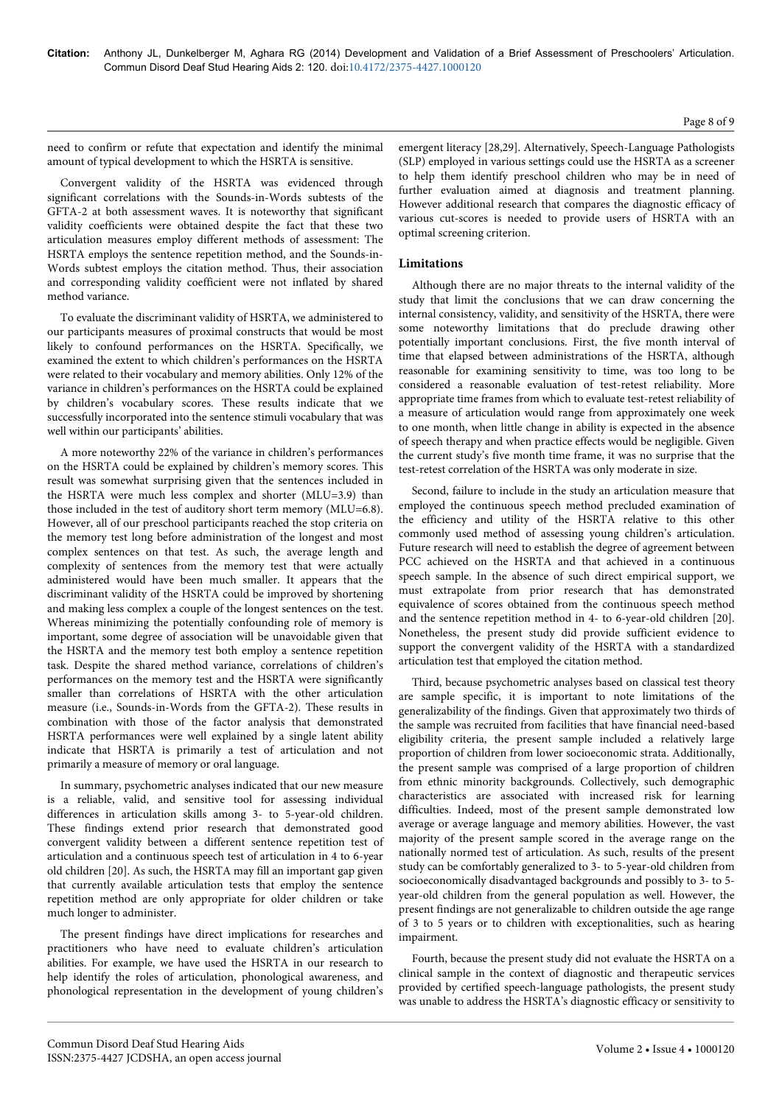need to confirm or refute that expectation and identify the minimal amount of typical development to which the HSRTA is sensitive.

Convergent validity of the HSRTA was evidenced through significant correlations with the Sounds-in-Words subtests of the GFTA-2 at both assessment waves. It is noteworthy that significant validity coefficients were obtained despite the fact that these two articulation measures employ different methods of assessment: The HSRTA employs the sentence repetition method, and the Sounds-in-Words subtest employs the citation method. Thus, their association and corresponding validity coefficient were not inflated by shared method variance.

To evaluate the discriminant validity of HSRTA, we administered to our participants measures of proximal constructs that would be most likely to confound performances on the HSRTA. Specifically, we examined the extent to which children's performances on the HSRTA were related to their vocabulary and memory abilities. Only 12% of the variance in children's performances on the HSRTA could be explained by children's vocabulary scores. These results indicate that we successfully incorporated into the sentence stimuli vocabulary that was well within our participants' abilities.

A more noteworthy 22% of the variance in children's performances on the HSRTA could be explained by children's memory scores. This result was somewhat surprising given that the sentences included in the HSRTA were much less complex and shorter (MLU=3.9) than those included in the test of auditory short term memory (MLU=6.8). However, all of our preschool participants reached the stop criteria on the memory test long before administration of the longest and most complex sentences on that test. As such, the average length and complexity of sentences from the memory test that were actually administered would have been much smaller. It appears that the discriminant validity of the HSRTA could be improved by shortening and making less complex a couple of the longest sentences on the test. Whereas minimizing the potentially confounding role of memory is important, some degree of association will be unavoidable given that the HSRTA and the memory test both employ a sentence repetition task. Despite the shared method variance, correlations of children's performances on the memory test and the HSRTA were significantly smaller than correlations of HSRTA with the other articulation measure (i.e., Sounds-in-Words from the GFTA-2). These results in combination with those of the factor analysis that demonstrated HSRTA performances were well explained by a single latent ability indicate that HSRTA is primarily a test of articulation and not primarily a measure of memory or oral language.

In summary, psychometric analyses indicated that our new measure is a reliable, valid, and sensitive tool for assessing individual differences in articulation skills among 3- to 5-year-old children. These findings extend prior research that demonstrated good convergent validity between a different sentence repetition test of articulation and a continuous speech test of articulation in 4 to 6-year old children [20]. As such, the HSRTA may fill an important gap given that currently available articulation tests that employ the sentence repetition method are only appropriate for older children or take much longer to administer.

The present findings have direct implications for researches and practitioners who have need to evaluate children's articulation abilities. For example, we have used the HSRTA in our research to help identify the roles of articulation, phonological awareness, and phonological representation in the development of young children's emergent literacy [28,29]. Alternatively, Speech-Language Pathologists (SLP) employed in various settings could use the HSRTA as a screener to help them identify preschool children who may be in need of further evaluation aimed at diagnosis and treatment planning. However additional research that compares the diagnostic efficacy of various cut-scores is needed to provide users of HSRTA with an optimal screening criterion.

## **Limitations**

Although there are no major threats to the internal validity of the study that limit the conclusions that we can draw concerning the internal consistency, validity, and sensitivity of the HSRTA, there were some noteworthy limitations that do preclude drawing other potentially important conclusions. First, the five month interval of time that elapsed between administrations of the HSRTA, although reasonable for examining sensitivity to time, was too long to be considered a reasonable evaluation of test-retest reliability. More appropriate time frames from which to evaluate test-retest reliability of a measure of articulation would range from approximately one week to one month, when little change in ability is expected in the absence of speech therapy and when practice effects would be negligible. Given the current study's five month time frame, it was no surprise that the test-retest correlation of the HSRTA was only moderate in size.

Second, failure to include in the study an articulation measure that employed the continuous speech method precluded examination of the efficiency and utility of the HSRTA relative to this other commonly used method of assessing young children's articulation. Future research will need to establish the degree of agreement between PCC achieved on the HSRTA and that achieved in a continuous speech sample. In the absence of such direct empirical support, we must extrapolate from prior research that has demonstrated equivalence of scores obtained from the continuous speech method and the sentence repetition method in 4- to 6-year-old children [20]. Nonetheless, the present study did provide sufficient evidence to support the convergent validity of the HSRTA with a standardized articulation test that employed the citation method.

Third, because psychometric analyses based on classical test theory are sample specific, it is important to note limitations of the generalizability of the findings. Given that approximately two thirds of the sample was recruited from facilities that have financial need-based eligibility criteria, the present sample included a relatively large proportion of children from lower socioeconomic strata. Additionally, the present sample was comprised of a large proportion of children from ethnic minority backgrounds. Collectively, such demographic characteristics are associated with increased risk for learning difficulties. Indeed, most of the present sample demonstrated low average or average language and memory abilities. However, the vast majority of the present sample scored in the average range on the nationally normed test of articulation. As such, results of the present study can be comfortably generalized to 3- to 5-year-old children from socioeconomically disadvantaged backgrounds and possibly to 3- to 5 year-old children from the general population as well. However, the present findings are not generalizable to children outside the age range of 3 to 5 years or to children with exceptionalities, such as hearing impairment.

Fourth, because the present study did not evaluate the HSRTA on a clinical sample in the context of diagnostic and therapeutic services provided by certified speech-language pathologists, the present study was unable to address the HSRTA's diagnostic efficacy or sensitivity to